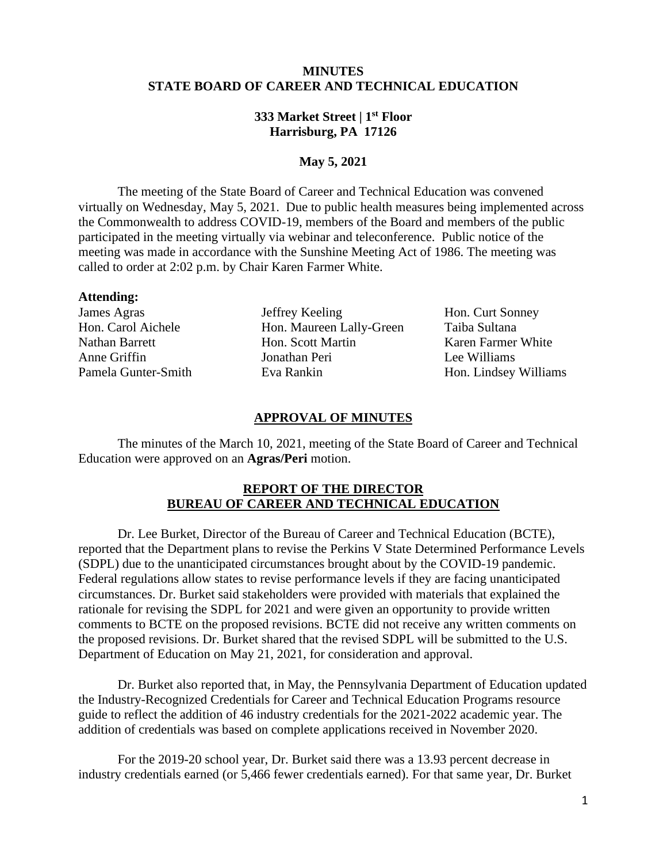## **MINUTES STATE BOARD OF CAREER AND TECHNICAL EDUCATION**

# **333 Market Street | 1st Floor Harrisburg, PA 17126**

# **May 5, 2021**

 The meeting of the State Board of Career and Technical Education was convened virtually on Wednesday, May 5, 2021. Due to public health measures being implemented across the Commonwealth to address COVID-19, members of the Board and members of the public participated in the meeting virtually via webinar and teleconference. Public notice of the meeting was made in accordance with the Sunshine Meeting Act of 1986. The meeting was called to order at 2:02 p.m. by Chair Karen Farmer White.

#### **Attending:**

James Agras Jeffrey Keeling Hon. Curt Sonney Hon. Carol Aichele Hon. Maureen Lally-Green Taiba Sultana Nathan Barrett **Hon.** Scott Martin Karen Farmer White Anne Griffin Jonathan Peri Lee Williams Pamela Gunter-Smith Eva Rankin Hon. Lindsey Williams

#### **APPROVAL OF MINUTES**

The minutes of the March 10, 2021, meeting of the State Board of Career and Technical Education were approved on an **Agras/Peri** motion.

### **REPORT OF THE DIRECTOR BUREAU OF CAREER AND TECHNICAL EDUCATION**

Dr. Lee Burket, Director of the Bureau of Career and Technical Education (BCTE), reported that the Department plans to revise the Perkins V State Determined Performance Levels (SDPL) due to the unanticipated circumstances brought about by the COVID-19 pandemic. Federal regulations allow states to revise performance levels if they are facing unanticipated circumstances. Dr. Burket said stakeholders were provided with materials that explained the rationale for revising the SDPL for 2021 and were given an opportunity to provide written comments to BCTE on the proposed revisions. BCTE did not receive any written comments on the proposed revisions. Dr. Burket shared that the revised SDPL will be submitted to the U.S. Department of Education on May 21, 2021, for consideration and approval.

Dr. Burket also reported that, in May, the Pennsylvania Department of Education updated the Industry-Recognized Credentials for Career and Technical Education Programs resource guide to reflect the addition of 46 industry credentials for the 2021-2022 academic year. The addition of credentials was based on complete applications received in November 2020.

For the 2019-20 school year, Dr. Burket said there was a 13.93 percent decrease in industry credentials earned (or 5,466 fewer credentials earned). For that same year, Dr. Burket